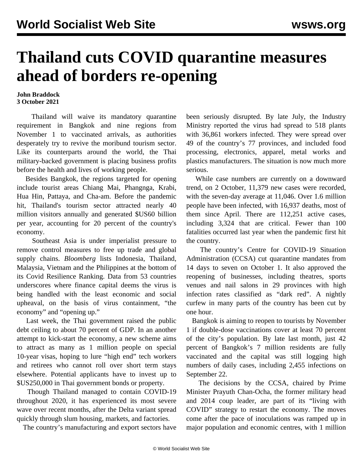## **Thailand cuts COVID quarantine measures ahead of borders re-opening**

## **John Braddock 3 October 2021**

 Thailand will waive its mandatory quarantine requirement in Bangkok and nine regions from November 1 to vaccinated arrivals, as authorities desperately try to revive the moribund tourism sector. Like its counterparts around the world, the Thai military-backed government is placing business profits before the health and lives of working people.

 Besides Bangkok, the regions targeted for opening include tourist areas Chiang Mai, Phangnga, Krabi, Hua Hin, Pattaya, and Cha-am. Before the pandemic hit, Thailand's tourism sector attracted nearly 40 million visitors annually and generated \$US60 billion per year, accounting for 20 percent of the country's economy.

 Southeast Asia is under [imperialist pressure](/en/articles/2021/09/28/seas-s28.html) to remove control measures to free up trade and global supply chains. *Bloomberg* lists Indonesia, Thailand, Malaysia, Vietnam and the Philippines at the bottom of its Covid Resilience Ranking. Data from 53 countries underscores where finance capital deems the virus is being handled with the least economic and social upheaval, on the basis of virus containment, "the economy" and "opening up."

 Last week, the Thai government raised the public debt ceiling to about 70 percent of GDP. In an another attempt to kick-start the economy, a new scheme aims to attract as many as 1 million people on special 10-year visas, hoping to lure "high end" tech workers and retirees who cannot roll over short term stays elsewhere. Potential applicants have to invest up to \$US250,000 in Thai government bonds or property.

 Though Thailand managed to contain COVID-19 throughout 2020, it has experienced its most severe wave over recent months, after the Delta variant spread quickly through slum housing, markets, and factories.

The country's manufacturing and export sectors have

been seriously disrupted. By late July, the Industry Ministry reported the virus had spread to 518 plants with 36,861 workers infected. They were spread over 49 of the country's 77 provinces, and included food processing, electronics, apparel, metal works and plastics manufacturers. The situation is now much more serious.

 While case numbers are currently on a downward trend, on 2 October, 11,379 new cases were recorded, with the seven-day average at 11,046. Over 1.6 million people have been infected, with 16,937 deaths, most of them since April. There are 112,251 active cases, including 3,324 that are critical. Fewer than 100 fatalities occurred last year when the pandemic first hit the country.

 The country's Centre for COVID-19 Situation Administration (CCSA) cut quarantine mandates from 14 days to seven on October 1. It also approved the reopening of businesses, including theatres, sports venues and nail salons in 29 provinces with high infection rates classified as "dark red". A nightly curfew in many parts of the country has been cut by one hour.

 Bangkok is aiming to reopen to tourists by November 1 if double-dose vaccinations cover at least 70 percent of the city's population. By late last month, just 42 percent of Bangkok's 7 million residents are fully vaccinated and the capital was still logging high numbers of daily cases, including 2,455 infections on September 22.

 The decisions by the CCSA, chaired by Prime Minister Prayuth Chan-Ocha, the former military head and 2014 coup leader, are part of its "living with COVID" strategy to restart the economy. The moves come after the pace of inoculations was ramped up in major population and economic centres, with 1 million